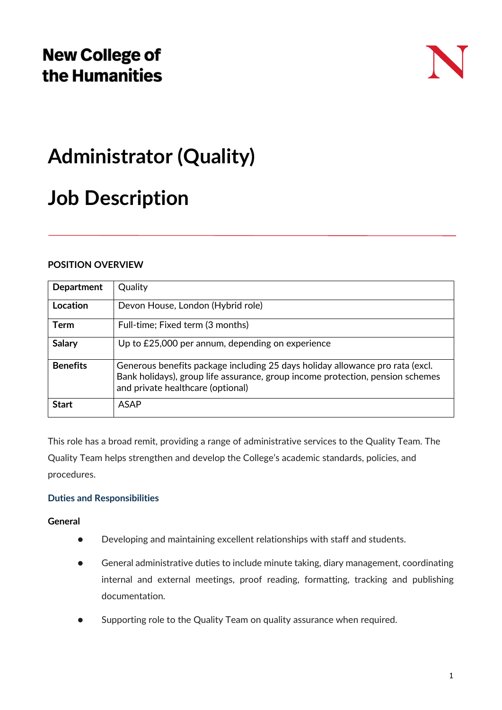# **New College of** the Humanities

# **Administrator (Quality)**

# **Job Description**

# **POSITION OVERVIEW**

| <b>Department</b> | Quality                                                                                                                                                                                              |
|-------------------|------------------------------------------------------------------------------------------------------------------------------------------------------------------------------------------------------|
| Location          | Devon House, London (Hybrid role)                                                                                                                                                                    |
| <b>Term</b>       | Full-time; Fixed term (3 months)                                                                                                                                                                     |
| <b>Salary</b>     | Up to £25,000 per annum, depending on experience                                                                                                                                                     |
| <b>Benefits</b>   | Generous benefits package including 25 days holiday allowance pro rata (excl.<br>Bank holidays), group life assurance, group income protection, pension schemes<br>and private healthcare (optional) |
| <b>Start</b>      | <b>ASAP</b>                                                                                                                                                                                          |

This role has a broad remit, providing a range of administrative services to the Quality Team. The Quality Team helps strengthen and develop the College's academic standards, policies, and procedures.

## **Duties and Responsibilities**

## **General**

- Developing and maintaining excellent relationships with staff and students.
- General administrative duties to include minute taking, diary management, coordinating internal and external meetings, proof reading, formatting, tracking and publishing documentation.
- Supporting role to the Quality Team on quality assurance when required.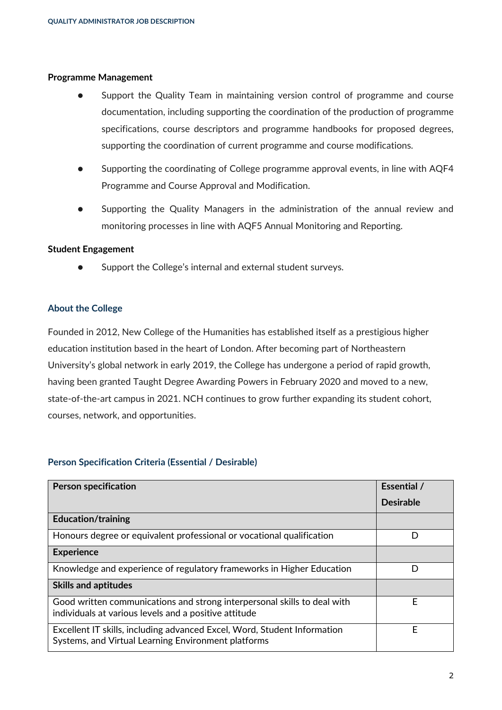#### **Programme Management**

- Support the Quality Team in maintaining version control of programme and course documentation, including supporting the coordination of the production of programme specifications, course descriptors and programme handbooks for proposed degrees, supporting the coordination of current programme and course modifications.
- Supporting the coordinating of College programme approval events, in line with AQF4 Programme and Course Approval and Modification.
- Supporting the Quality Managers in the administration of the annual review and monitoring processes in line with AQF5 Annual Monitoring and Reporting.

#### **Student Engagement**

Support the College's internal and external student surveys.

#### **About the College**

Founded in 2012, New College of the Humanities has established itself as a prestigious higher education institution based in the heart of London. After becoming part of Northeastern University's global network in early 2019, the College has undergone a period of rapid growth, having been granted Taught Degree Awarding Powers in February 2020 and moved to a new, state-of-the-art campus in 2021. NCH continues to grow further expanding its student cohort, courses, network, and opportunities.

#### **Person Specification Criteria (Essential / Desirable)**

| <b>Person specification</b>                                                                                                       | Essential /      |
|-----------------------------------------------------------------------------------------------------------------------------------|------------------|
|                                                                                                                                   | <b>Desirable</b> |
| <b>Education/training</b>                                                                                                         |                  |
| Honours degree or equivalent professional or vocational qualification                                                             | D                |
| <b>Experience</b>                                                                                                                 |                  |
| Knowledge and experience of regulatory frameworks in Higher Education                                                             | D                |
| <b>Skills and aptitudes</b>                                                                                                       |                  |
| Good written communications and strong interpersonal skills to deal with<br>individuals at various levels and a positive attitude | E                |
| Excellent IT skills, including advanced Excel, Word, Student Information<br>Systems, and Virtual Learning Environment platforms   | F                |